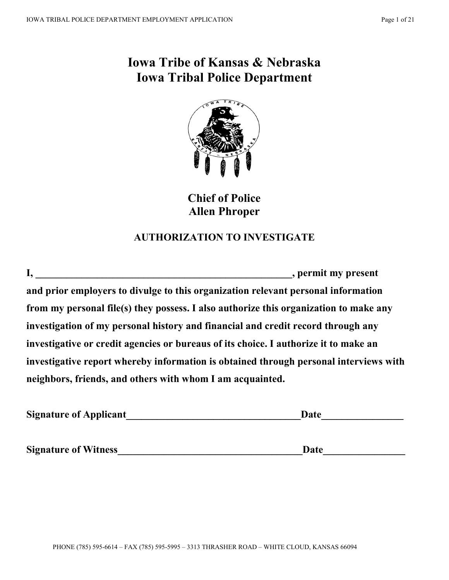# **Iowa Tribe of Kansas & Nebraska Iowa Tribal Police Department**



**Chief of Police Allen Phroper**

## **AUTHORIZATION TO INVESTIGATE**

| , permit my present                                                                   |
|---------------------------------------------------------------------------------------|
| and prior employers to divulge to this organization relevant personal information     |
| from my personal file(s) they possess. I also authorize this organization to make any |
| investigation of my personal history and financial and credit record through any      |
| investigative or credit agencies or bureaus of its choice. I authorize it to make an  |
| investigative report whereby information is obtained through personal interviews with |
| neighbors, friends, and others with whom I am acquainted.                             |

| <b>Signature of Applicant</b> | Date |
|-------------------------------|------|
|                               |      |

**Signature of Witness\_\_\_\_\_\_\_\_\_\_\_\_\_\_\_\_\_\_\_\_\_\_\_\_\_\_\_\_\_\_\_\_\_\_\_\_Date\_\_\_\_\_\_\_\_\_\_\_\_\_\_\_\_**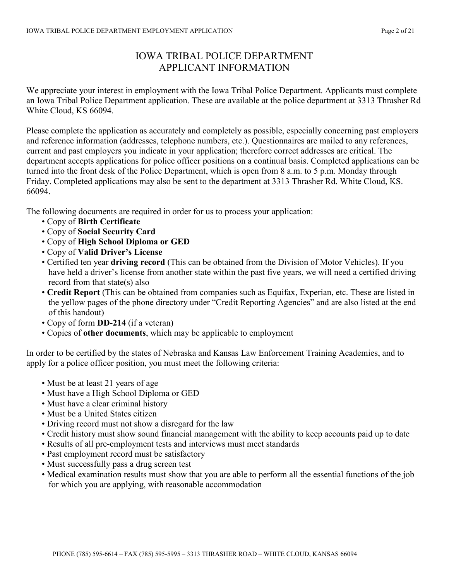## IOWA TRIBAL POLICE DEPARTMENT APPLICANT INFORMATION

We appreciate your interest in employment with the Iowa Tribal Police Department. Applicants must complete an Iowa Tribal Police Department application. These are available at the police department at 3313 Thrasher Rd White Cloud, KS 66094.

Please complete the application as accurately and completely as possible, especially concerning past employers and reference information (addresses, telephone numbers, etc.). Questionnaires are mailed to any references, current and past employers you indicate in your application; therefore correct addresses are critical. The department accepts applications for police officer positions on a continual basis. Completed applications can be turned into the front desk of the Police Department, which is open from 8 a.m. to 5 p.m. Monday through Friday. Completed applications may also be sent to the department at 3313 Thrasher Rd. White Cloud, KS. 66094.

The following documents are required in order for us to process your application:

- Copy of **Birth Certificate**
- Copy of **Social Security Card**
- Copy of **High School Diploma or GED**
- Copy of **Valid Driver's License**
- Certified ten year **driving record** (This can be obtained from the Division of Motor Vehicles). If you have held a driver's license from another state within the past five years, we will need a certified driving record from that state(s) also
- **Credit Report** (This can be obtained from companies such as Equifax, Experian, etc. These are listed in the yellow pages of the phone directory under "Credit Reporting Agencies" and are also listed at the end of this handout)
- Copy of form **DD-214** (if a veteran)
- Copies of **other documents**, which may be applicable to employment

In order to be certified by the states of Nebraska and Kansas Law Enforcement Training Academies, and to apply for a police officer position, you must meet the following criteria:

- Must be at least 21 years of age
- Must have a High School Diploma or GED
- Must have a clear criminal history
- Must be a United States citizen
- Driving record must not show a disregard for the law
- Credit history must show sound financial management with the ability to keep accounts paid up to date
- Results of all pre-employment tests and interviews must meet standards
- Past employment record must be satisfactory
- Must successfully pass a drug screen test
- Medical examination results must show that you are able to perform all the essential functions of the job for which you are applying, with reasonable accommodation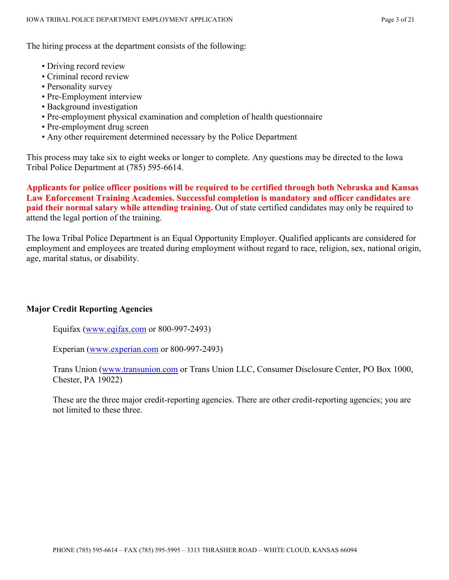The hiring process at the department consists of the following:

- Driving record review
- Criminal record review
- Personality survey
- Pre-Employment interview
- Background investigation
- Pre-employment physical examination and completion of health questionnaire
- Pre-employment drug screen
- Any other requirement determined necessary by the Police Department

This process may take six to eight weeks or longer to complete. Any questions may be directed to the Iowa Tribal Police Department at (785) 595-6614.

**Applicants for police officer positions will be required to be certified through both Nebraska and Kansas Law Enforcement Training Academies. Successful completion is mandatory and officer candidates are paid their normal salary while attending training.** Out of state certified candidates may only be required to attend the legal portion of the training.

The Iowa Tribal Police Department is an Equal Opportunity Employer. Qualified applicants are considered for employment and employees are treated during employment without regard to race, religion, sex, national origin, age, marital status, or disability.

#### **Major Credit Reporting Agencies**

Equifax [\(www.eqifax.com](http://www.eqifax.com/) or 800-997-2493)

Experian [\(www.experian.com](http://www.experian.com/) or 800-997-2493)

Trans Union [\(www.transunion.com](http://www.transunion.com/) or Trans Union LLC, Consumer Disclosure Center, PO Box 1000, Chester, PA 19022)

These are the three major credit-reporting agencies. There are other credit-reporting agencies; you are not limited to these three.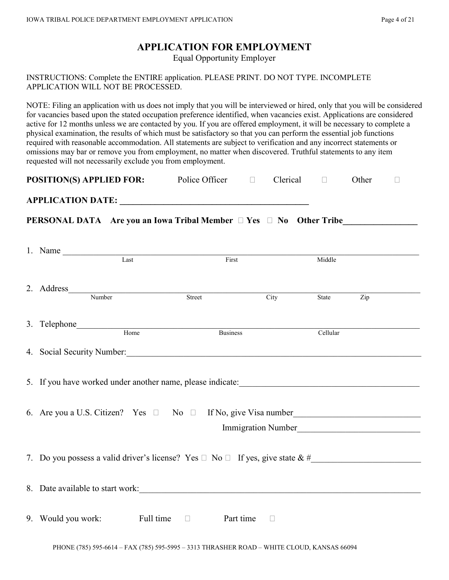## **APPLICATION FOR EMPLOYMENT**

Equal Opportunity Employer

INSTRUCTIONS: Complete the ENTIRE application. PLEASE PRINT. DO NOT TYPE. INCOMPLETE APPLICATION WILL NOT BE PROCESSED.

NOTE: Filing an application with us does not imply that you will be interviewed or hired, only that you will be considered for vacancies based upon the stated occupation preference identified, when vacancies exist. Applications are considered active for 12 months unless we are contacted by you. If you are offered employment, it will be necessary to complete a physical examination, the results of which must be satisfactory so that you can perform the essential job functions required with reasonable accommodation. All statements are subject to verification and any incorrect statements or omissions may bar or remove you from employment, no matter when discovered. Truthful statements to any item requested will not necessarily exclude you from employment.

| <b>POSITION(S) APPLIED FOR:</b> | Police Officer |  | Clerical |  | Other |  |
|---------------------------------|----------------|--|----------|--|-------|--|
|---------------------------------|----------------|--|----------|--|-------|--|

**APPLICATION DATE: \_\_\_\_\_\_\_\_\_\_\_\_\_\_\_\_\_\_\_\_\_\_\_\_\_\_\_\_\_\_\_\_\_\_\_\_\_\_\_\_\_\_\_**

**PERSONAL DATA** Are you an Iowa Tribal Member  $\Box$  Yes  $\Box$  No Other Tribe

| 1. Name                                                                                 |                            |        |          |     |
|-----------------------------------------------------------------------------------------|----------------------------|--------|----------|-----|
| Last                                                                                    | First                      |        | Middle   |     |
|                                                                                         | Street                     | City   | State    | Zip |
|                                                                                         |                            |        |          |     |
|                                                                                         | Business                   |        | Cellular |     |
| 4. Social Security Number: 1986. The Contract of the Social Security Number:            |                            |        |          |     |
|                                                                                         |                            |        |          |     |
| 6. Are you a U.S. Citizen? Yes $\Box$ No $\Box$ If No, give Visa number                 |                            |        |          |     |
|                                                                                         |                            |        |          |     |
| 7. Do you possess a valid driver's license? Yes $\Box$ No $\Box$ If yes, give state & # |                            |        |          |     |
| 8. Date available to start work:                                                        |                            |        |          |     |
| 9. Would you work: Full time                                                            | <b>Example 1</b> Part time | $\Box$ |          |     |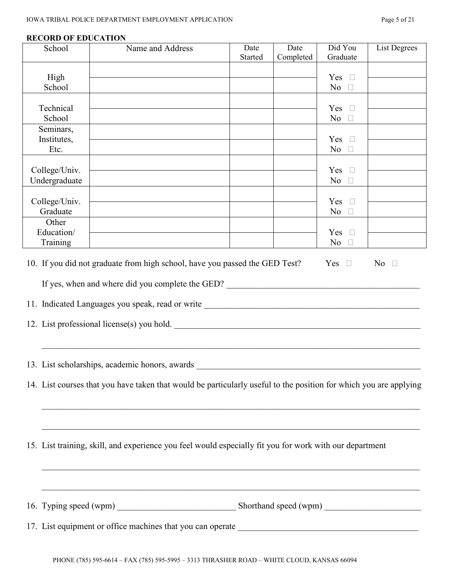| School            | Name and Address                                                                                                                                                                                                                                                                                                                                                                                                                                                     | Date    | Date      | Did You                  | <b>List Degrees</b> |
|-------------------|----------------------------------------------------------------------------------------------------------------------------------------------------------------------------------------------------------------------------------------------------------------------------------------------------------------------------------------------------------------------------------------------------------------------------------------------------------------------|---------|-----------|--------------------------|---------------------|
|                   |                                                                                                                                                                                                                                                                                                                                                                                                                                                                      | Started | Completed | Graduate                 |                     |
| High              |                                                                                                                                                                                                                                                                                                                                                                                                                                                                      |         |           | Yes $\square$            |                     |
| School            |                                                                                                                                                                                                                                                                                                                                                                                                                                                                      |         |           | No $\square$             |                     |
| Technical         |                                                                                                                                                                                                                                                                                                                                                                                                                                                                      |         |           | Yes $\square$            |                     |
| School            |                                                                                                                                                                                                                                                                                                                                                                                                                                                                      |         |           | No $\square$             |                     |
| Seminars,         |                                                                                                                                                                                                                                                                                                                                                                                                                                                                      |         |           |                          |                     |
| Institutes,       |                                                                                                                                                                                                                                                                                                                                                                                                                                                                      |         |           | Yes $\square$            |                     |
| Etc.              |                                                                                                                                                                                                                                                                                                                                                                                                                                                                      |         |           | No $\square$             |                     |
| College/Univ.     |                                                                                                                                                                                                                                                                                                                                                                                                                                                                      |         |           | Yes $\square$            |                     |
| Undergraduate     |                                                                                                                                                                                                                                                                                                                                                                                                                                                                      |         |           | No $\square$             |                     |
|                   |                                                                                                                                                                                                                                                                                                                                                                                                                                                                      |         |           |                          |                     |
| College/Univ.     |                                                                                                                                                                                                                                                                                                                                                                                                                                                                      |         |           | Yes $\square$            |                     |
| Graduate<br>Other |                                                                                                                                                                                                                                                                                                                                                                                                                                                                      |         |           | N <sub>o</sub><br>$\Box$ |                     |
| Education/        |                                                                                                                                                                                                                                                                                                                                                                                                                                                                      |         |           | Yes $\square$            |                     |
| Training          |                                                                                                                                                                                                                                                                                                                                                                                                                                                                      |         |           | No $\square$             |                     |
|                   | If yes, when and where did you complete the GED?<br>11. Indicated Languages you speak, read or write _______________________________<br>12. List professional license(s) you hold.<br>13. List scholarships, academic honors, awards<br>14. List courses that you have taken that would be particularly useful to the position for which you are applying<br>15. List training, skill, and experience you feel would especially fit you for work with our department |         |           |                          |                     |
|                   | ,我们也不能在这里的时候,我们也不能在这里的时候,我们也不能在这里的时候,我们也不能会在这里的时候,我们也不能会在这里的时候,我们也不能会在这里的时候,我们也不能<br>16. Typing speed (wpm) Shorthand speed (wpm) Shorthand speed (wpm)                                                                                                                                                                                                                                                                                                              |         |           |                          |                     |
|                   |                                                                                                                                                                                                                                                                                                                                                                                                                                                                      |         |           |                          |                     |

#### **RECORD OF EDUCATION**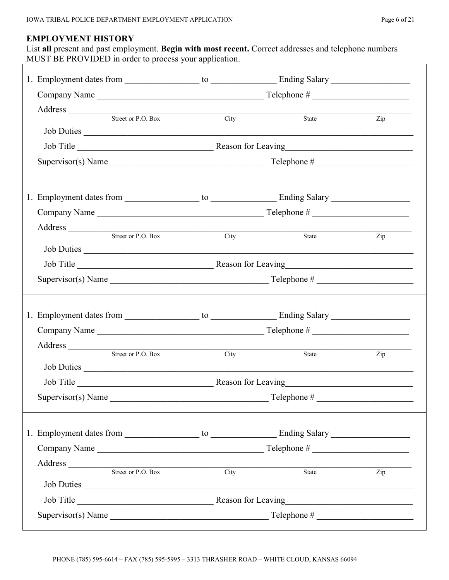#### **EMPLOYMENT HISTORY**

List **all** present and past employment. **Begin with most recent.** Correct addresses and telephone numbers MUST BE PROVIDED in order to process your application.

| Address Street or P.O. Box City                                                                                                                                                                                                                                                                                                                                                                     |      | State                 | $\overline{Zip}$                  |
|-----------------------------------------------------------------------------------------------------------------------------------------------------------------------------------------------------------------------------------------------------------------------------------------------------------------------------------------------------------------------------------------------------|------|-----------------------|-----------------------------------|
| Job Duties                                                                                                                                                                                                                                                                                                                                                                                          |      |                       |                                   |
|                                                                                                                                                                                                                                                                                                                                                                                                     |      |                       |                                   |
|                                                                                                                                                                                                                                                                                                                                                                                                     |      |                       |                                   |
|                                                                                                                                                                                                                                                                                                                                                                                                     |      |                       |                                   |
|                                                                                                                                                                                                                                                                                                                                                                                                     |      |                       |                                   |
|                                                                                                                                                                                                                                                                                                                                                                                                     |      |                       |                                   |
| Address Street or P.O. Box                                                                                                                                                                                                                                                                                                                                                                          |      |                       |                                   |
|                                                                                                                                                                                                                                                                                                                                                                                                     | City | State                 | $\mathop{\mathrm {Zip}}\nolimits$ |
| Job Duties                                                                                                                                                                                                                                                                                                                                                                                          |      |                       |                                   |
|                                                                                                                                                                                                                                                                                                                                                                                                     |      |                       |                                   |
| Supervisor(s) Name $\frac{1}{\sqrt{1-\frac{1}{2}}\sqrt{1-\frac{1}{2}}\sqrt{1-\frac{1}{2}}\sqrt{1-\frac{1}{2}}\sqrt{1-\frac{1}{2}}\sqrt{1-\frac{1}{2}}\sqrt{1-\frac{1}{2}}\sqrt{1-\frac{1}{2}}\sqrt{1-\frac{1}{2}}\sqrt{1-\frac{1}{2}}\sqrt{1-\frac{1}{2}}\sqrt{1-\frac{1}{2}}\sqrt{1-\frac{1}{2}}\sqrt{1-\frac{1}{2}}\sqrt{1-\frac{1}{2}}\sqrt{1-\frac{1}{2}}\sqrt{1-\frac{1}{2}}\sqrt{1-\frac{1}{$ |      |                       |                                   |
|                                                                                                                                                                                                                                                                                                                                                                                                     |      |                       |                                   |
|                                                                                                                                                                                                                                                                                                                                                                                                     |      |                       |                                   |
|                                                                                                                                                                                                                                                                                                                                                                                                     |      |                       |                                   |
|                                                                                                                                                                                                                                                                                                                                                                                                     |      |                       |                                   |
| Address Street or P.O. Box City                                                                                                                                                                                                                                                                                                                                                                     |      | State                 | Zip                               |
| Job Duties                                                                                                                                                                                                                                                                                                                                                                                          |      |                       |                                   |
|                                                                                                                                                                                                                                                                                                                                                                                                     |      |                       |                                   |
| $Supervisor(s) Name$ $Telephone #$                                                                                                                                                                                                                                                                                                                                                                  |      |                       |                                   |
|                                                                                                                                                                                                                                                                                                                                                                                                     |      |                       |                                   |
|                                                                                                                                                                                                                                                                                                                                                                                                     |      |                       |                                   |
|                                                                                                                                                                                                                                                                                                                                                                                                     |      |                       |                                   |
| Address                                                                                                                                                                                                                                                                                                                                                                                             |      |                       |                                   |
| Street or P.O. Box                                                                                                                                                                                                                                                                                                                                                                                  | City | State                 | $\overline{\mathrm{Zip}}$         |
| Job Duties                                                                                                                                                                                                                                                                                                                                                                                          |      |                       |                                   |
|                                                                                                                                                                                                                                                                                                                                                                                                     |      |                       |                                   |
| Supervisor(s) Name                                                                                                                                                                                                                                                                                                                                                                                  |      | $\text{Telephone} \#$ |                                   |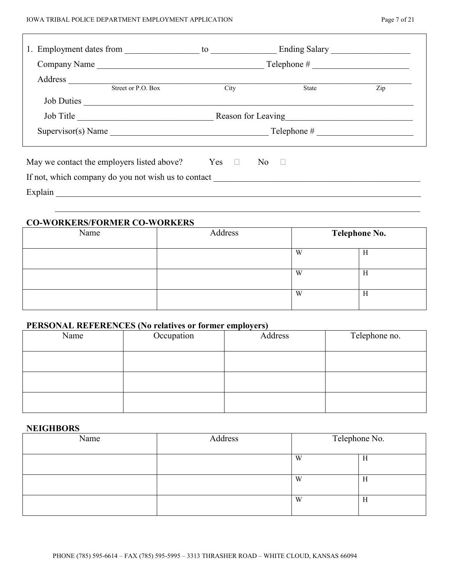| Company Name                                                |                    |      | $\text{Telephone} \#$            |     |
|-------------------------------------------------------------|--------------------|------|----------------------------------|-----|
|                                                             | Street or P.O. Box | City | State                            | Zip |
| Job Duties                                                  |                    |      |                                  |     |
|                                                             |                    |      | Job Title Reason for Leaving     |     |
|                                                             |                    |      | $Supervisor(s) Name$ Telephone # |     |
| May we contact the employers listed above? $\Box$ No $\Box$ |                    |      |                                  |     |
| If not, which company do you not wish us to contact         |                    |      |                                  |     |
| Explain                                                     |                    |      |                                  |     |

#### **CO-WORKERS/FORMER CO-WORKERS**

| Name | Address | <b>Telephone No.</b> |   |
|------|---------|----------------------|---|
|      |         | W                    | п |
|      |         | W                    | П |
|      |         | W                    | П |

 $\mathcal{L}_\text{max}$  , and the contribution of the contribution of the contribution of the contribution of the contribution of the contribution of the contribution of the contribution of the contribution of the contribution of t

### **PERSONAL REFERENCES (No relatives or former employers)**

| Name | Occupation | Address | Telephone no. |
|------|------------|---------|---------------|
|      |            |         |               |
|      |            |         |               |
|      |            |         |               |

#### **NEIGHBORS**

| Name | Address | Telephone No. |   |  |  |
|------|---------|---------------|---|--|--|
|      |         | W             | Η |  |  |
|      |         | W             | Η |  |  |
|      |         | W             | H |  |  |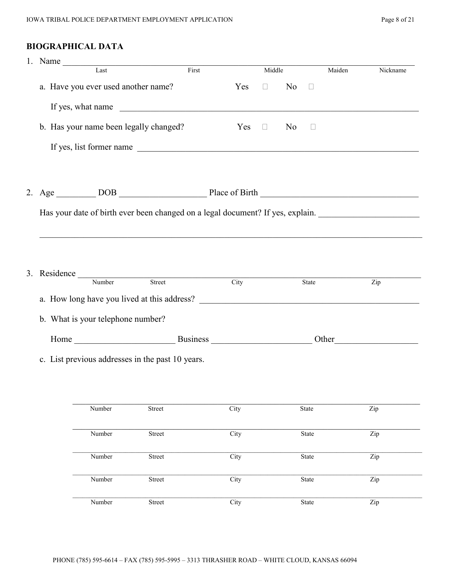## **BIOGRAPHICAL DATA**

| 1. Name $\overline{\phantom{a}}$ |                                                                                         |       |      |                      |                |        |        |                                                                                                                                                                                                                               |
|----------------------------------|-----------------------------------------------------------------------------------------|-------|------|----------------------|----------------|--------|--------|-------------------------------------------------------------------------------------------------------------------------------------------------------------------------------------------------------------------------------|
|                                  | Last                                                                                    | First |      | Middle               |                |        | Maiden | Nickname                                                                                                                                                                                                                      |
|                                  | a. Have you ever used another name?                                                     |       | Yes  | $\Box$               | N <sub>o</sub> | $\Box$ |        |                                                                                                                                                                                                                               |
|                                  | If yes, what name                                                                       |       |      |                      |                |        |        |                                                                                                                                                                                                                               |
|                                  | b. Has your name been legally changed?                                                  |       | Yes  | $\qquad \qquad \Box$ | N <sub>0</sub> | $\Box$ |        |                                                                                                                                                                                                                               |
|                                  | If yes, list former name                                                                |       |      |                      |                |        |        |                                                                                                                                                                                                                               |
|                                  |                                                                                         |       |      |                      |                |        |        |                                                                                                                                                                                                                               |
|                                  | 2. Age $\_\_\_\_$ DOB $\_\_\_\_\_\_\$ Place of Birth $\_\_\_\_\_\_\_\_\_\_\_\_\_\_\_\_$ |       |      |                      |                |        |        |                                                                                                                                                                                                                               |
|                                  | Has your date of birth ever been changed on a legal document? If yes, explain.          |       |      |                      |                |        |        |                                                                                                                                                                                                                               |
|                                  |                                                                                         |       |      |                      |                |        |        |                                                                                                                                                                                                                               |
|                                  | 3. Residence $\frac{1}{N \cdot \text{Number}}$ Street                                   |       |      |                      |                |        |        |                                                                                                                                                                                                                               |
|                                  |                                                                                         |       | City |                      |                | State  |        | Zip                                                                                                                                                                                                                           |
|                                  |                                                                                         |       |      |                      |                |        |        |                                                                                                                                                                                                                               |
|                                  | b. What is your telephone number?                                                       |       |      |                      |                |        |        |                                                                                                                                                                                                                               |
|                                  |                                                                                         |       |      |                      |                |        |        | Other and the contract of the contract of the contract of the contract of the contract of the contract of the contract of the contract of the contract of the contract of the contract of the contract of the contract of the |
|                                  | c. List previous addresses in the past 10 years.                                        |       |      |                      |                |        |        |                                                                                                                                                                                                                               |
|                                  |                                                                                         |       |      |                      |                |        |        |                                                                                                                                                                                                                               |

| Number | Street | City | State | Zip |
|--------|--------|------|-------|-----|
|        |        |      |       |     |
| Number | Street | City | State | Zip |
|        |        |      |       |     |
| Number | Street | City | State | Zip |
|        |        |      |       |     |
| Number | Street | City | State | Zip |
|        |        |      |       |     |
| Number | Street | City | State | Zip |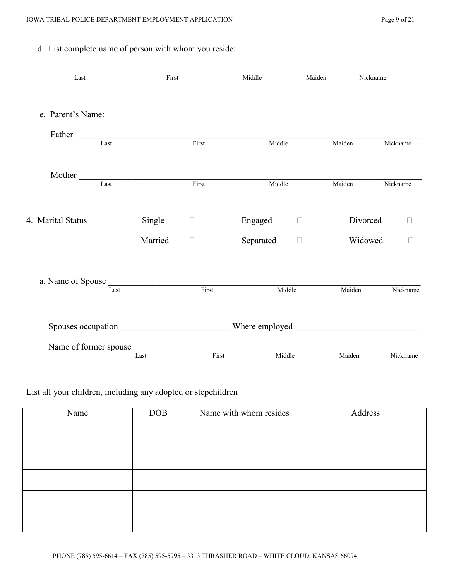### d. List complete name of person with whom you reside:

| Last                  | First   |                          | Middle    | Maiden | Nickname |              |
|-----------------------|---------|--------------------------|-----------|--------|----------|--------------|
| e. Parent's Name:     |         |                          |           |        |          |              |
| Father                |         |                          |           |        |          |              |
| Last                  |         | First                    | Middle    |        | Maiden   | Nickname     |
| Mother                |         |                          |           |        |          |              |
| Last                  |         | First                    | Middle    |        | Maiden   | Nickname     |
| 4. Marital Status     | Single  | $\Box$                   | Engaged   | $\Box$ | Divorced |              |
|                       | Married | П                        | Separated | $\Box$ | Widowed  | $\mathbf{L}$ |
| a. Name of Spouse     |         |                          |           |        |          |              |
| Last                  |         | $\frac{1}{\text{First}}$ | Middle    |        | Maiden   | Nickname     |
|                       |         |                          |           |        |          |              |
| Name of former spouse | Last    | First                    | Middle    |        | Maiden   | Nickname     |

### List all your children, including any adopted or stepchildren

| Name | <b>DOB</b> | Name with whom resides | Address |
|------|------------|------------------------|---------|
|      |            |                        |         |
|      |            |                        |         |
|      |            |                        |         |
|      |            |                        |         |
|      |            |                        |         |
|      |            |                        |         |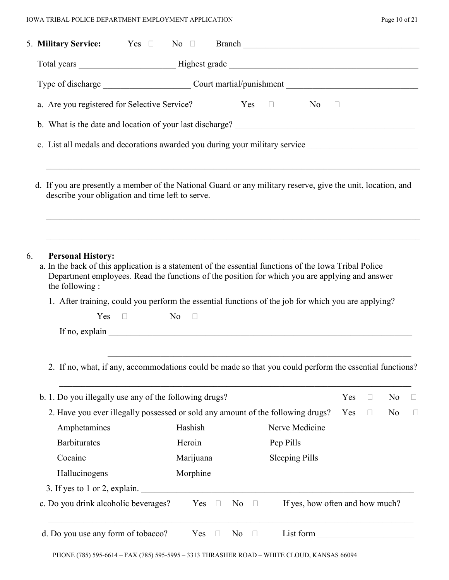| 5. Military Service: Yes D No D                                                                                                                                                                                                                                                                                                                                                                      |           |        |                |        |                                                                                                                                                                                                                                |     |              |                |  |
|------------------------------------------------------------------------------------------------------------------------------------------------------------------------------------------------------------------------------------------------------------------------------------------------------------------------------------------------------------------------------------------------------|-----------|--------|----------------|--------|--------------------------------------------------------------------------------------------------------------------------------------------------------------------------------------------------------------------------------|-----|--------------|----------------|--|
|                                                                                                                                                                                                                                                                                                                                                                                                      |           |        |                |        |                                                                                                                                                                                                                                |     |              |                |  |
|                                                                                                                                                                                                                                                                                                                                                                                                      |           |        |                |        |                                                                                                                                                                                                                                |     |              |                |  |
| a. Are you registered for Selective Service?                                                                                                                                                                                                                                                                                                                                                         |           |        |                |        | $Yes \square$<br>$No$ $\Box$                                                                                                                                                                                                   |     |              |                |  |
|                                                                                                                                                                                                                                                                                                                                                                                                      |           |        |                |        |                                                                                                                                                                                                                                |     |              |                |  |
| c. List all medals and decorations awarded you during your military service _______________________                                                                                                                                                                                                                                                                                                  |           |        |                |        |                                                                                                                                                                                                                                |     |              |                |  |
| d. If you are presently a member of the National Guard or any military reserve, give the unit, location, and<br>describe your obligation and time left to serve.                                                                                                                                                                                                                                     |           |        |                |        |                                                                                                                                                                                                                                |     |              |                |  |
| 6.<br><b>Personal History:</b><br>a. In the back of this application is a statement of the essential functions of the Iowa Tribal Police<br>Department employees. Read the functions of the position for which you are applying and answer<br>the following:<br>1. After training, could you perform the essential functions of the job for which you are applying?<br>$N_0$ $\Box$<br>$Yes \square$ |           |        |                |        |                                                                                                                                                                                                                                |     |              |                |  |
| 2. If no, what, if any, accommodations could be made so that you could perform the essential functions?                                                                                                                                                                                                                                                                                              |           |        |                |        |                                                                                                                                                                                                                                |     |              |                |  |
| b. 1. Do you illegally use any of the following drugs?                                                                                                                                                                                                                                                                                                                                               |           |        |                |        |                                                                                                                                                                                                                                | Yes | $\Box$       | N <sub>0</sub> |  |
| 2. Have you ever illegally possessed or sold any amount of the following drugs?                                                                                                                                                                                                                                                                                                                      |           |        |                |        |                                                                                                                                                                                                                                | Yes | $\mathbf{L}$ | N <sub>0</sub> |  |
| Amphetamines                                                                                                                                                                                                                                                                                                                                                                                         | Hashish   |        |                |        | Nerve Medicine                                                                                                                                                                                                                 |     |              |                |  |
| <b>Barbiturates</b>                                                                                                                                                                                                                                                                                                                                                                                  | Heroin    |        |                |        | Pep Pills                                                                                                                                                                                                                      |     |              |                |  |
| Cocaine                                                                                                                                                                                                                                                                                                                                                                                              | Marijuana |        |                |        | <b>Sleeping Pills</b>                                                                                                                                                                                                          |     |              |                |  |
| Hallucinogens                                                                                                                                                                                                                                                                                                                                                                                        | Morphine  |        |                |        |                                                                                                                                                                                                                                |     |              |                |  |
| 3. If yes to 1 or 2, explain.                                                                                                                                                                                                                                                                                                                                                                        |           |        |                |        |                                                                                                                                                                                                                                |     |              |                |  |
| c. Do you drink alcoholic beverages?                                                                                                                                                                                                                                                                                                                                                                 | Yes       | $\Box$ | No             | $\Box$ | If yes, how often and how much?                                                                                                                                                                                                |     |              |                |  |
| d. Do you use any form of tobacco?                                                                                                                                                                                                                                                                                                                                                                   | Yes       | $\Box$ | N <sub>0</sub> | $\Box$ | List form that the contract of the contract of the contract of the contract of the contract of the contract of the contract of the contract of the contract of the contract of the contract of the contract of the contract of |     |              |                |  |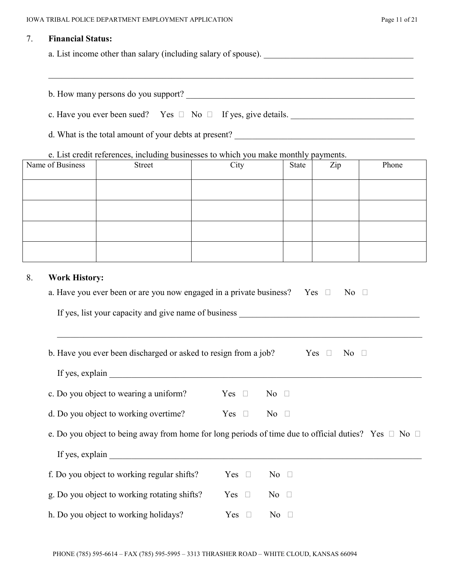#### 7. **Financial Status:**

a. List income other than salary (including salary of spouse).

b. How many persons do you support? \_\_\_\_\_\_\_\_\_\_\_\_\_\_\_\_\_\_\_\_\_\_\_\_\_\_\_\_\_\_\_\_\_\_\_\_\_\_\_\_\_\_\_\_\_\_\_\_\_\_\_\_

|  |  | c. Have you ever been sued? Yes $\Box$ No $\Box$ If yes, give details. |  |  |  |
|--|--|------------------------------------------------------------------------|--|--|--|
|--|--|------------------------------------------------------------------------|--|--|--|

d. What is the total amount of your debts at present? \_\_\_\_\_\_\_\_\_\_\_\_\_\_\_\_\_\_\_\_\_\_\_\_\_\_\_\_\_\_\_\_\_\_\_\_\_\_\_\_\_

e. List credit references, including businesses to which you make monthly payments.

| Name of Business | Street | City | State | Zip | Phone |
|------------------|--------|------|-------|-----|-------|
|                  |        |      |       |     |       |
|                  |        |      |       |     |       |
|                  |        |      |       |     |       |
|                  |        |      |       |     |       |

 $\mathcal{L}_\text{max}$  , and the contribution of the contribution of the contribution of the contribution of the contribution of the contribution of the contribution of the contribution of the contribution of the contribution of t

#### 8. **Work History:**

| a. Have you ever been or are you now engaged in a private business? Yes $\Box$                                 |               |                               | $\overline{N_0}$ |
|----------------------------------------------------------------------------------------------------------------|---------------|-------------------------------|------------------|
|                                                                                                                |               |                               |                  |
|                                                                                                                |               |                               |                  |
| b. Have you ever been discharged or asked to resign from a job? Yes $\Box$ No $\Box$                           |               |                               |                  |
|                                                                                                                |               |                               |                  |
| c. Do you object to wearing a uniform?                                                                         | Yes $\square$ | $\overline{\text{No}}$ $\Box$ |                  |
| d. Do you object to working overtime? $\Gamma$ Yes $\Box$                                                      |               | $No$ $\Box$                   |                  |
| e. Do you object to being away from home for long periods of time due to official duties? Yes $\Box$ No $\Box$ |               |                               |                  |
|                                                                                                                |               |                               |                  |
| f. Do you object to working regular shifts?                                                                    | Yes $\square$ | $\overline{\text{No}}$ $\Box$ |                  |
| g. Do you object to working rotating shifts?                                                                   | Yes $\square$ | $No$ $\Box$                   |                  |
| h. Do you object to working holidays?                                                                          | Yes $\square$ | No $\square$                  |                  |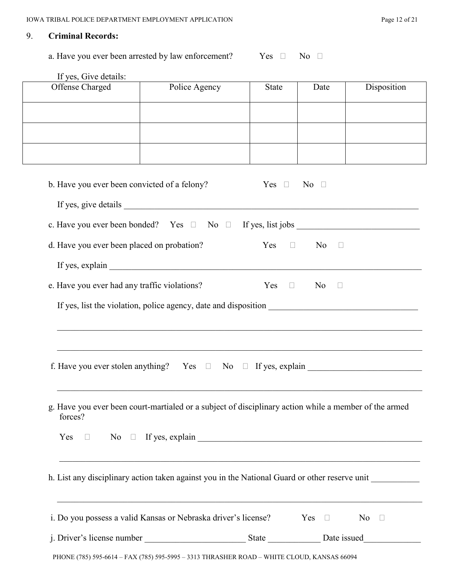## 9. **Criminal Records:**

a. Have you ever been arrested by law enforcement? Yes  $\Box$  No  $\Box$ 

|                                              | Police Agency                                                                                         | <b>State</b>  | Date                  | Disposition             |
|----------------------------------------------|-------------------------------------------------------------------------------------------------------|---------------|-----------------------|-------------------------|
|                                              |                                                                                                       |               |                       |                         |
|                                              |                                                                                                       |               |                       |                         |
|                                              |                                                                                                       |               |                       |                         |
|                                              |                                                                                                       |               |                       |                         |
|                                              |                                                                                                       |               |                       |                         |
|                                              |                                                                                                       |               |                       |                         |
| b. Have you ever been convicted of a felony? |                                                                                                       |               | $Yes \Box No \Box$    |                         |
|                                              |                                                                                                       |               |                       |                         |
|                                              |                                                                                                       |               |                       |                         |
|                                              |                                                                                                       |               |                       |                         |
|                                              |                                                                                                       |               |                       |                         |
| d. Have you ever been placed on probation?   |                                                                                                       | $Yes \Box$    | No<br>$\Box$          |                         |
|                                              |                                                                                                       |               |                       |                         |
|                                              |                                                                                                       |               |                       |                         |
| e. Have you ever had any traffic violations? |                                                                                                       | $Yes \square$ | No.<br>$\blacksquare$ |                         |
|                                              |                                                                                                       |               |                       |                         |
|                                              |                                                                                                       |               |                       |                         |
|                                              |                                                                                                       |               |                       |                         |
|                                              |                                                                                                       |               |                       |                         |
|                                              |                                                                                                       |               |                       |                         |
|                                              |                                                                                                       |               |                       |                         |
|                                              |                                                                                                       |               |                       |                         |
|                                              |                                                                                                       |               |                       |                         |
|                                              |                                                                                                       |               |                       |                         |
|                                              |                                                                                                       |               |                       |                         |
|                                              |                                                                                                       |               |                       |                         |
|                                              | g. Have you ever been court-martialed or a subject of disciplinary action while a member of the armed |               |                       |                         |
| forces?                                      |                                                                                                       |               |                       |                         |
|                                              |                                                                                                       |               |                       |                         |
|                                              |                                                                                                       |               |                       |                         |
|                                              |                                                                                                       |               |                       |                         |
|                                              |                                                                                                       |               |                       |                         |
|                                              | h. List any disciplinary action taken against you in the National Guard or other reserve unit         |               |                       |                         |
|                                              |                                                                                                       |               |                       |                         |
|                                              |                                                                                                       |               |                       |                         |
|                                              | i. Do you possess a valid Kansas or Nebraska driver's license? Yes □                                  |               |                       | $\overline{N}$ o $\Box$ |
|                                              |                                                                                                       |               |                       |                         |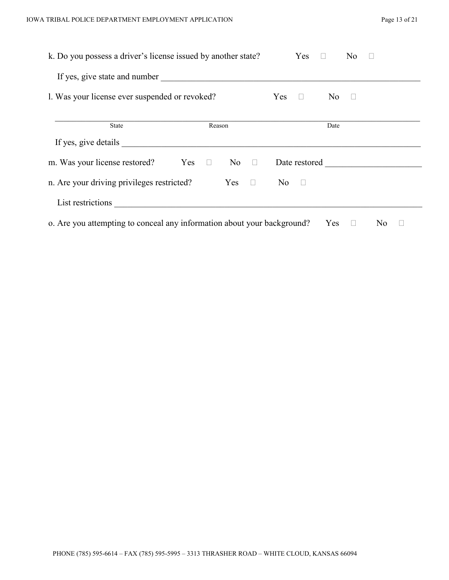| 1. Was your license ever suspended or revoked? |        |                  | <b>Yes</b><br>$\Box$ | No 1          | $\Box$ |  |
|------------------------------------------------|--------|------------------|----------------------|---------------|--------|--|
| <b>State</b>                                   | Reason |                  |                      | Date          |        |  |
| If yes, give details                           |        |                  |                      |               |        |  |
| m. Was your license restored? Yes $\square$    |        | $\overline{N_0}$ |                      | Date restored |        |  |
| n. Are your driving privileges restricted?     |        | $Yes \Box$       | $No$ $\Box$          |               |        |  |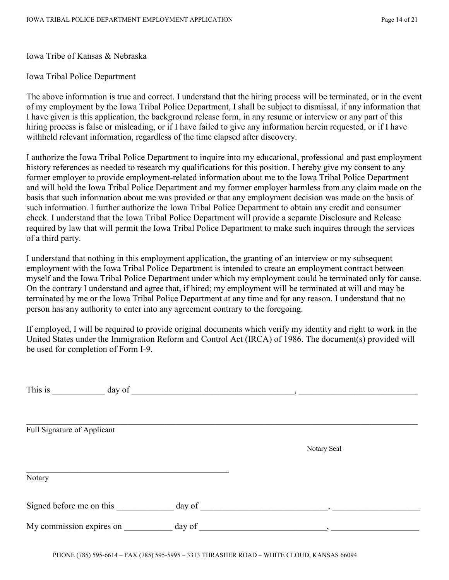Iowa Tribe of Kansas & Nebraska

Iowa Tribal Police Department

The above information is true and correct. I understand that the hiring process will be terminated, or in the event of my employment by the Iowa Tribal Police Department, I shall be subject to dismissal, if any information that I have given is this application, the background release form, in any resume or interview or any part of this hiring process is false or misleading, or if I have failed to give any information herein requested, or if I have withheld relevant information, regardless of the time elapsed after discovery.

I authorize the Iowa Tribal Police Department to inquire into my educational, professional and past employment history references as needed to research my qualifications for this position. I hereby give my consent to any former employer to provide employment-related information about me to the Iowa Tribal Police Department and will hold the Iowa Tribal Police Department and my former employer harmless from any claim made on the basis that such information about me was provided or that any employment decision was made on the basis of such information. I further authorize the Iowa Tribal Police Department to obtain any credit and consumer check. I understand that the Iowa Tribal Police Department will provide a separate Disclosure and Release required by law that will permit the Iowa Tribal Police Department to make such inquires through the services of a third party.

I understand that nothing in this employment application, the granting of an interview or my subsequent employment with the Iowa Tribal Police Department is intended to create an employment contract between myself and the Iowa Tribal Police Department under which my employment could be terminated only for cause. On the contrary I understand and agree that, if hired; my employment will be terminated at will and may be terminated by me or the Iowa Tribal Police Department at any time and for any reason. I understand that no person has any authority to enter into any agreement contrary to the foregoing.

If employed, I will be required to provide original documents which verify my identity and right to work in the United States under the Immigration Reform and Control Act (IRCA) of 1986. The document(s) provided will be used for completion of Form I-9.

| This is<br>day of           |        |                          |  |
|-----------------------------|--------|--------------------------|--|
| Full Signature of Applicant |        |                          |  |
|                             |        | Notary Seal              |  |
| Notary                      |        |                          |  |
| Signed before me on this    | day of | $\overline{\phantom{a}}$ |  |
| My commission expires on    | day of | $\overline{\phantom{a}}$ |  |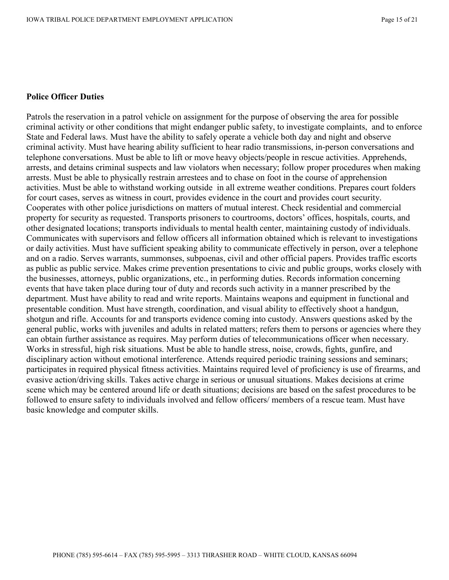#### **Police Officer Duties**

Patrols the reservation in a patrol vehicle on assignment for the purpose of observing the area for possible criminal activity or other conditions that might endanger public safety, to investigate complaints, and to enforce State and Federal laws. Must have the ability to safely operate a vehicle both day and night and observe criminal activity. Must have hearing ability sufficient to hear radio transmissions, in-person conversations and telephone conversations. Must be able to lift or move heavy objects/people in rescue activities. Apprehends, arrests, and detains criminal suspects and law violators when necessary; follow proper procedures when making arrests. Must be able to physically restrain arrestees and to chase on foot in the course of apprehension activities. Must be able to withstand working outside in all extreme weather conditions. Prepares court folders for court cases, serves as witness in court, provides evidence in the court and provides court security. Cooperates with other police jurisdictions on matters of mutual interest. Check residential and commercial property for security as requested. Transports prisoners to courtrooms, doctors' offices, hospitals, courts, and other designated locations; transports individuals to mental health center, maintaining custody of individuals. Communicates with supervisors and fellow officers all information obtained which is relevant to investigations or daily activities. Must have sufficient speaking ability to communicate effectively in person, over a telephone and on a radio. Serves warrants, summonses, subpoenas, civil and other official papers. Provides traffic escorts as public as public service. Makes crime prevention presentations to civic and public groups, works closely with the businesses, attorneys, public organizations, etc., in performing duties. Records information concerning events that have taken place during tour of duty and records such activity in a manner prescribed by the department. Must have ability to read and write reports. Maintains weapons and equipment in functional and presentable condition. Must have strength, coordination, and visual ability to effectively shoot a handgun, shotgun and rifle. Accounts for and transports evidence coming into custody. Answers questions asked by the general public, works with juveniles and adults in related matters; refers them to persons or agencies where they can obtain further assistance as requires. May perform duties of telecommunications officer when necessary. Works in stressful, high risk situations. Must be able to handle stress, noise, crowds, fights, gunfire, and disciplinary action without emotional interference. Attends required periodic training sessions and seminars; participates in required physical fitness activities. Maintains required level of proficiency is use of firearms, and evasive action/driving skills. Takes active charge in serious or unusual situations. Makes decisions at crime scene which may be centered around life or death situations; decisions are based on the safest procedures to be followed to ensure safety to individuals involved and fellow officers/ members of a rescue team. Must have basic knowledge and computer skills.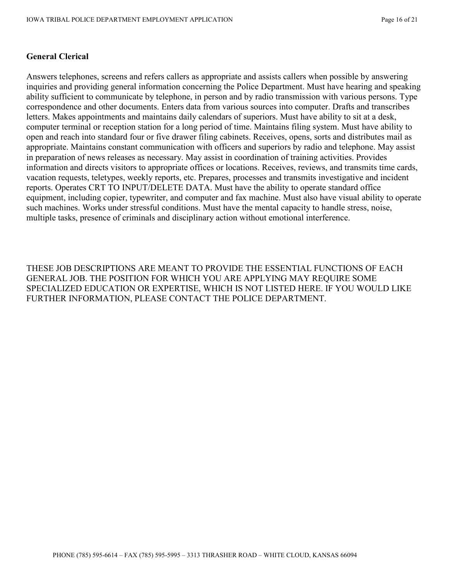#### **General Clerical**

Answers telephones, screens and refers callers as appropriate and assists callers when possible by answering inquiries and providing general information concerning the Police Department. Must have hearing and speaking ability sufficient to communicate by telephone, in person and by radio transmission with various persons. Type correspondence and other documents. Enters data from various sources into computer. Drafts and transcribes letters. Makes appointments and maintains daily calendars of superiors. Must have ability to sit at a desk, computer terminal or reception station for a long period of time. Maintains filing system. Must have ability to open and reach into standard four or five drawer filing cabinets. Receives, opens, sorts and distributes mail as appropriate. Maintains constant communication with officers and superiors by radio and telephone. May assist in preparation of news releases as necessary. May assist in coordination of training activities. Provides information and directs visitors to appropriate offices or locations. Receives, reviews, and transmits time cards, vacation requests, teletypes, weekly reports, etc. Prepares, processes and transmits investigative and incident reports. Operates CRT TO INPUT/DELETE DATA. Must have the ability to operate standard office equipment, including copier, typewriter, and computer and fax machine. Must also have visual ability to operate such machines. Works under stressful conditions. Must have the mental capacity to handle stress, noise, multiple tasks, presence of criminals and disciplinary action without emotional interference.

THESE JOB DESCRIPTIONS ARE MEANT TO PROVIDE THE ESSENTIAL FUNCTIONS OF EACH GENERAL JOB. THE POSITION FOR WHICH YOU ARE APPLYING MAY REQUIRE SOME SPECIALIZED EDUCATION OR EXPERTISE, WHICH IS NOT LISTED HERE. IF YOU WOULD LIKE FURTHER INFORMATION, PLEASE CONTACT THE POLICE DEPARTMENT.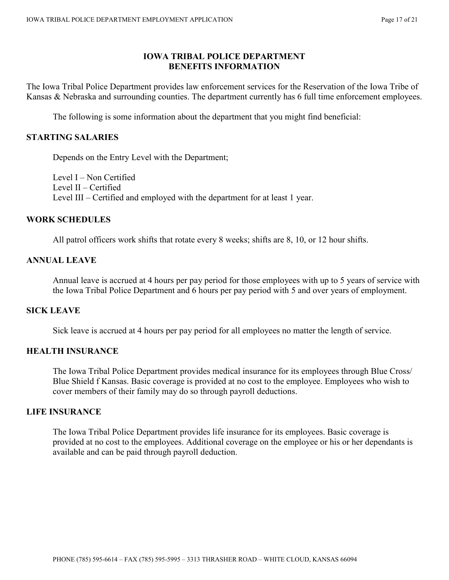#### **IOWA TRIBAL POLICE DEPARTMENT BENEFITS INFORMATION**

The Iowa Tribal Police Department provides law enforcement services for the Reservation of the Iowa Tribe of Kansas & Nebraska and surrounding counties. The department currently has 6 full time enforcement employees.

The following is some information about the department that you might find beneficial:

#### **STARTING SALARIES**

Depends on the Entry Level with the Department;

Level I – Non Certified Level II – Certified Level III – Certified and employed with the department for at least 1 year.

#### **WORK SCHEDULES**

All patrol officers work shifts that rotate every 8 weeks; shifts are 8, 10, or 12 hour shifts.

#### **ANNUAL LEAVE**

Annual leave is accrued at 4 hours per pay period for those employees with up to 5 years of service with the Iowa Tribal Police Department and 6 hours per pay period with 5 and over years of employment.

#### **SICK LEAVE**

Sick leave is accrued at 4 hours per pay period for all employees no matter the length of service.

#### **HEALTH INSURANCE**

The Iowa Tribal Police Department provides medical insurance for its employees through Blue Cross/ Blue Shield f Kansas. Basic coverage is provided at no cost to the employee. Employees who wish to cover members of their family may do so through payroll deductions.

#### **LIFE INSURANCE**

The Iowa Tribal Police Department provides life insurance for its employees. Basic coverage is provided at no cost to the employees. Additional coverage on the employee or his or her dependants is available and can be paid through payroll deduction.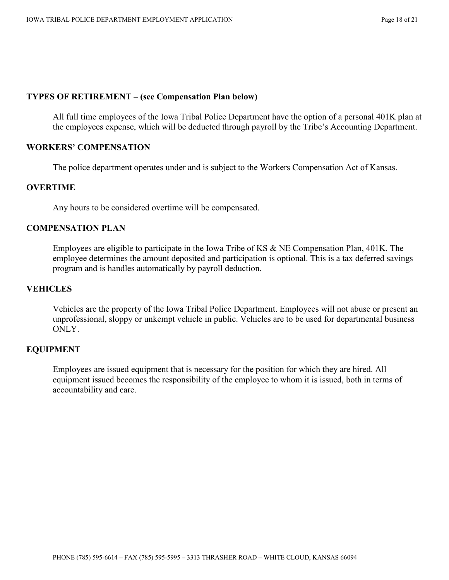#### **TYPES OF RETIREMENT – (see Compensation Plan below)**

All full time employees of the Iowa Tribal Police Department have the option of a personal 401K plan at the employees expense, which will be deducted through payroll by the Tribe's Accounting Department.

#### **WORKERS' COMPENSATION**

The police department operates under and is subject to the Workers Compensation Act of Kansas.

#### **OVERTIME**

Any hours to be considered overtime will be compensated.

#### **COMPENSATION PLAN**

Employees are eligible to participate in the Iowa Tribe of KS & NE Compensation Plan, 401K. The employee determines the amount deposited and participation is optional. This is a tax deferred savings program and is handles automatically by payroll deduction.

#### **VEHICLES**

Vehicles are the property of the Iowa Tribal Police Department. Employees will not abuse or present an unprofessional, sloppy or unkempt vehicle in public. Vehicles are to be used for departmental business ONLY.

#### **EQUIPMENT**

Employees are issued equipment that is necessary for the position for which they are hired. All equipment issued becomes the responsibility of the employee to whom it is issued, both in terms of accountability and care.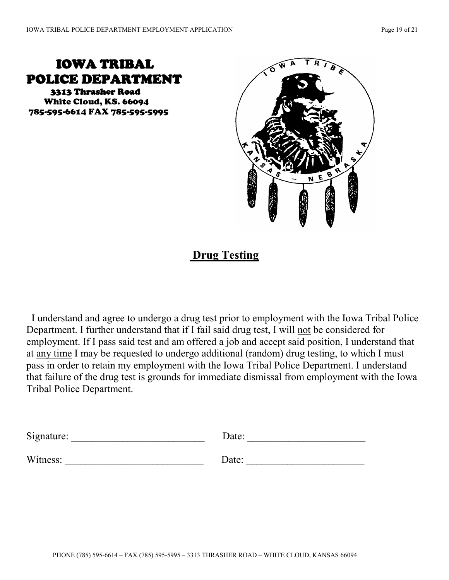# IOWA TRIBAL POLICE DEPARTMENT

 3313 Thrasher Road White Cloud, KS. 66094 785-595-6614 FAX 785-595-5995



# **Drug Testing**

 I understand and agree to undergo a drug test prior to employment with the Iowa Tribal Police Department. I further understand that if I fail said drug test, I will not be considered for employment. If I pass said test and am offered a job and accept said position, I understand that at any time I may be requested to undergo additional (random) drug testing, to which I must pass in order to retain my employment with the Iowa Tribal Police Department. I understand that failure of the drug test is grounds for immediate dismissal from employment with the Iowa Tribal Police Department.

| Signature: | Date: |
|------------|-------|
|            |       |
| Witness:   | Date: |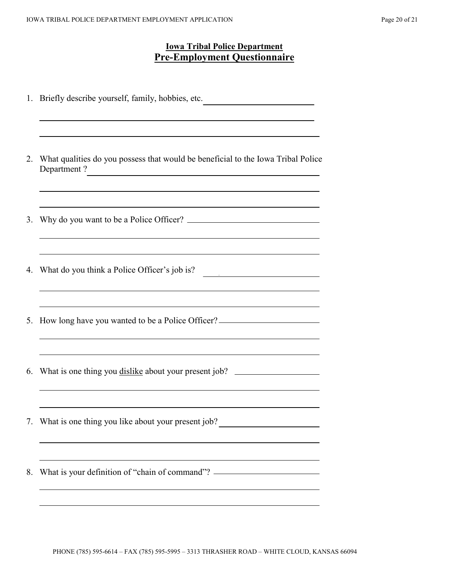## **Iowa Tribal Police Department Pre-Employment Questionnaire**

|    | 1. Briefly describe yourself, family, hobbies, etc.                                              |
|----|--------------------------------------------------------------------------------------------------|
|    | What qualities do you possess that would be beneficial to the Iowa Tribal Police<br>Department ? |
|    |                                                                                                  |
|    | 4. What do you think a Police Officer's job is?                                                  |
|    | 5. How long have you wanted to be a Police Officer? ____________________________                 |
| 6. | What is one thing you dislike about your present job?                                            |
|    | 7. What is one thing you like about your present job?                                            |
|    | What is your definition of "chain of command"? _________________________________                 |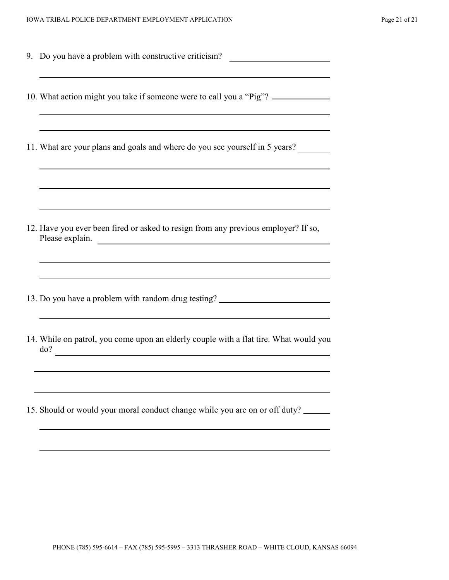| 9. Do you have a problem with constructive criticism?                                                                                                               |
|---------------------------------------------------------------------------------------------------------------------------------------------------------------------|
| 10. What action might you take if someone were to call you a "Pig"?                                                                                                 |
| 11. What are your plans and goals and where do you see yourself in 5 years?                                                                                         |
| 12. Have you ever been fired or asked to resign from any previous employer? If so,<br>Please explain.<br><u> 1989 - Jan Sterner Start, fransk politik (d. 1989)</u> |
| 13. Do you have a problem with random drug testing? ____________________________                                                                                    |
| 14. While on patrol, you come upon an elderly couple with a flat tire. What would you<br>do?                                                                        |
| 15. Should or would your moral conduct change while you are on or off duty?                                                                                         |
|                                                                                                                                                                     |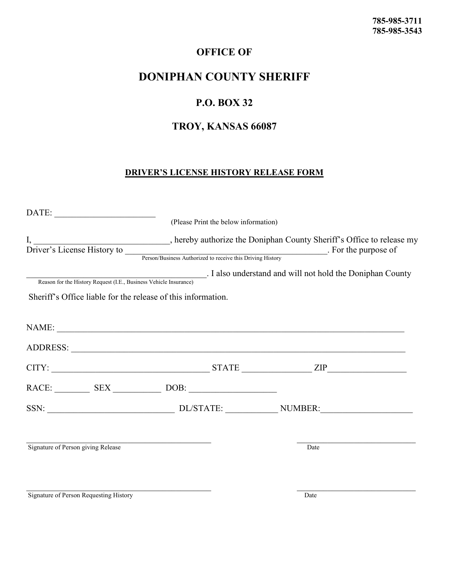## **OFFICE OF**

## **DONIPHAN COUNTY SHERIFF**

## **P.O. BOX 32**

## **TROY, KANSAS 66087**

### **DRIVER'S LICENSE HISTORY RELEASE FORM**

|                                                              | (Please Print the below information) |                                                                                                                                                                                              |
|--------------------------------------------------------------|--------------------------------------|----------------------------------------------------------------------------------------------------------------------------------------------------------------------------------------------|
|                                                              |                                      | J, hereby authorize the Doniphan County Sheriff's Office to release my<br>Driver's License History to <u>Person/Business Authorized to receive this Driving History</u> . For the purpose of |
| Sheriff's Office liable for the release of this information. |                                      | Reason for the History Request (I.E., Business Vehicle Insurance) J. I also understand and will not hold the Doniphan County                                                                 |
|                                                              |                                      | NAME:                                                                                                                                                                                        |
|                                                              |                                      |                                                                                                                                                                                              |
|                                                              |                                      | $CITY:$ $ZIP$                                                                                                                                                                                |
|                                                              |                                      |                                                                                                                                                                                              |
|                                                              |                                      |                                                                                                                                                                                              |
| Signature of Person giving Release                           |                                      | Date                                                                                                                                                                                         |
|                                                              |                                      |                                                                                                                                                                                              |

Signature of Person Requesting History Date